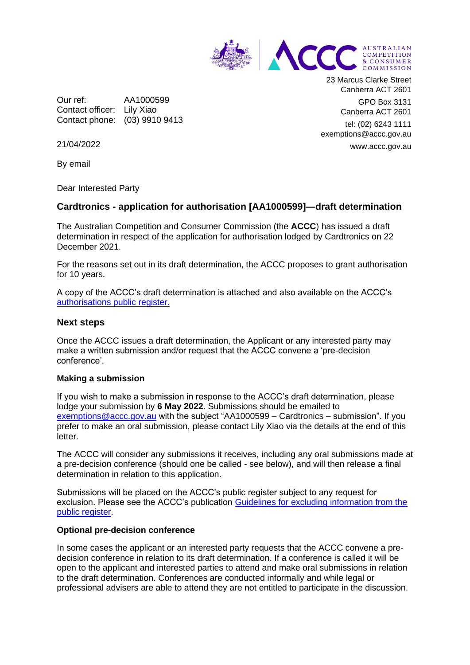

Our ref: AA1000599 Contact officer: Lily Xiao Contact phone: (03) 9910 9413 23 Marcus Clarke Street Canberra ACT 2601 GPO Box 3131

Canberra ACT 2601 tel: (02) 6243 1111 exemptions@accc.gov.au www.accc.gov.au

21/04/2022

By email

Dear Interested Party

# **Cardtronics - application for authorisation [AA1000599]—draft determination**

The Australian Competition and Consumer Commission (the **ACCC**) has issued a draft determination in respect of the application for authorisation lodged by Cardtronics on 22 December 2021.

For the reasons set out in its draft determination, the ACCC proposes to grant authorisation for 10 years.

A copy of the ACCC's draft determination is attached and also available on the ACCC's [authorisations public register.](https://www.accc.gov.au/public-registers/authorisations-and-notifications-registers/authorisations-register/bp-rewards-qantas-frequent-flyer-and-qantas-business-rewards-loyalty-programs)

### **Next steps**

Once the ACCC issues a draft determination, the Applicant or any interested party may make a written submission and/or request that the ACCC convene a 'pre-decision conference'.

#### **Making a submission**

If you wish to make a submission in response to the ACCC's draft determination, please lodge your submission by **6 May 2022**. Submissions should be emailed to [exemptions@accc.gov.au](mailto:exemptions@accc.gov.au) with the subject "AA1000599 – Cardtronics – submission". If you prefer to make an oral submission, please contact Lily Xiao via the details at the end of this letter.

The ACCC will consider any submissions it receives, including any oral submissions made at a pre-decision conference (should one be called - see below), and will then release a final determination in relation to this application.

Submissions will be placed on the ACCC's public register subject to any request for exclusion. Please see the ACCC's publication [Guidelines for excluding information from the](https://www.accc.gov.au/publications/guidelines-for-excluding-information-from-the-public-register-for-authorisation-and-notification-processes)  [public register.](https://www.accc.gov.au/publications/guidelines-for-excluding-information-from-the-public-register-for-authorisation-and-notification-processes)

#### **Optional pre-decision conference**

In some cases the applicant or an interested party requests that the ACCC convene a predecision conference in relation to its draft determination. If a conference is called it will be open to the applicant and interested parties to attend and make oral submissions in relation to the draft determination. Conferences are conducted informally and while legal or professional advisers are able to attend they are not entitled to participate in the discussion.